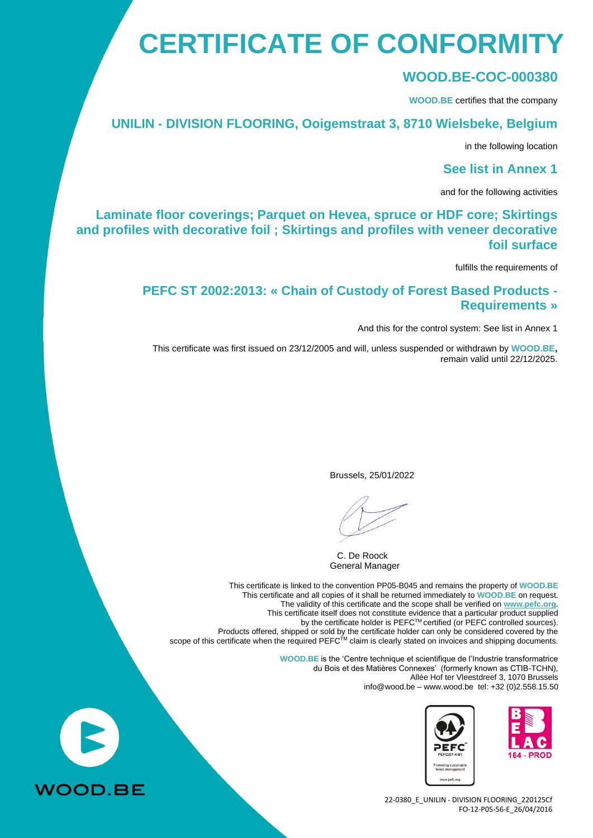## **CERTIFICATE OF CONFORMITY**

#### **WOOD.BE-COC-000380**

**WOOD.BE** certifies that the company

#### **UNILIN - DIVISION FLOORING, Ooigemstraat 3, 8710 Wielsbeke, Belgium**

in the following location

**See list in Annex 1**

and for the following activities

#### **Laminate floor coverings; Parquet on Hevea, spruce or HDF core; Skirtings and profiles with decorative foil ; Skirtings and profiles with veneer decorative foil surface**

fulfills the requirements of

#### **PEFC ST 2002:2013: « Chain of Custody of Forest Based Products - Requirements »**

And this for the control system: See list in Annex 1

This certificate was first issued on 23/12/2005 and will, unless suspended or withdrawn by **WOOD.BE,** remain valid until 22/12/2025.

Brussels, 25/01/2022

C. De Roock General Manager

This certificate is linked to the convention PP05-B045 and remains the property of **WOOD.BE** This certificate and all copies of it shall be returned immediately to **WOOD.BE** on request. The validity of this certificate and the scope shall be verified on **[www.pefc.org](http://www.pefc.org/)**. This certificate itself does not constitute evidence that a particular product supplied by the certificate holder is PEFC™ certified (or PEFC controlled sources). Products offered, shipped or sold by the certificate holder can only be considered covered by the scope of this certificate when the required PEFC<sup>TM</sup> claim is clearly stated on invoices and shipping documents.

> **WOOD.BE** is the 'Centre technique et scientifique de l'Industrie transformatrice du Bois et des Matières Connexes' (formerly known as CTIB-TCHN), Allée Hof ter Vleestdreef 3, 1070 Brussels info@wood.be – [www.wood.be](http://www.wood.be/) tel: +32 (0)2.558.15.50



22-0380\_E\_UNILIN - DIVISION FLOORING\_220125Cf FO-12-P05-56-E\_26/04/2016

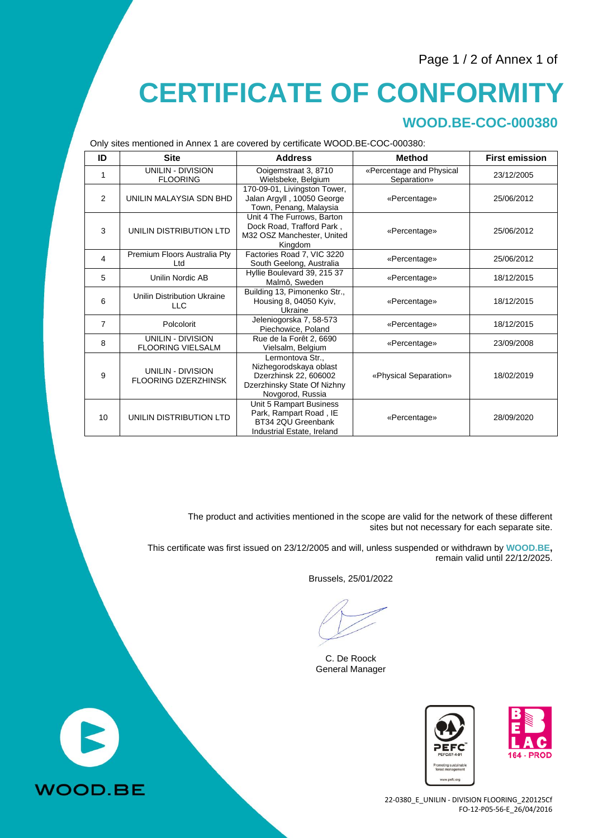#### Page 1 / 2 of Annex 1 of

## **CERTIFICATE OF CONFORMITY**

### **WOOD.BE-COC-000380**

Only sites mentioned in Annex 1 are covered by certificate WOOD.BE-COC-000380:

| ID | <b>Site</b>                                          | <b>Address</b>                                                                                                         | <b>Method</b>                           | <b>First emission</b> |
|----|------------------------------------------------------|------------------------------------------------------------------------------------------------------------------------|-----------------------------------------|-----------------------|
| 1  | <b>UNILIN - DIVISION</b><br><b>FLOORING</b>          | Ooigemstraat 3, 8710<br>Wielsbeke, Belgium                                                                             | «Percentage and Physical<br>Separation» | 23/12/2005            |
| 2  | UNILIN MALAYSIA SDN BHD                              | 170-09-01, Livingston Tower,<br>Jalan Argyll, 10050 George<br>Town, Penang, Malaysia                                   | «Percentage»                            | 25/06/2012            |
| 3  | UNILIN DISTRIBUTION LTD                              | Unit 4 The Furrows, Barton<br>Dock Road, Trafford Park,<br>M32 OSZ Manchester, United<br>Kingdom                       | «Percentage»                            | 25/06/2012            |
| 4  | Premium Floors Australia Pty<br>Ltd                  | Factories Road 7, VIC 3220<br>South Geelong, Australia                                                                 | «Percentage»                            | 25/06/2012            |
| 5  | Unilin Nordic AB                                     | Hyllie Boulevard 39, 215 37<br>Malmô, Sweden                                                                           | «Percentage»                            | 18/12/2015            |
| 6  | Unilin Distribution Ukraine<br><b>LLC</b>            | Building 13, Pimonenko Str.,<br>Housing 8, 04050 Kyiv,<br>Ukraine                                                      | «Percentage»                            | 18/12/2015            |
| 7  | Polcolorit                                           | Jeleniogorska 7, 58-573<br>Piechowice, Poland                                                                          | «Percentage»                            | 18/12/2015            |
| 8  | <b>UNILIN - DIVISION</b><br><b>FLOORING VIELSALM</b> | Rue de la Forêt 2, 6690<br>Vielsalm, Belgium                                                                           | «Percentage»                            | 23/09/2008            |
| 9  | UNILIN - DIVISION<br><b>FLOORING DZERZHINSK</b>      | Lermontova Str.,<br>Nizhegorodskaya oblast<br>Dzerzhinsk 22, 606002<br>Dzerzhinsky State Of Nizhny<br>Novgorod, Russia | «Physical Separation»                   | 18/02/2019            |
| 10 | UNILIN DISTRIBUTION LTD                              | Unit 5 Rampart Business<br>Park, Rampart Road, IE<br>BT34 2QU Greenbank<br>Industrial Estate, Ireland                  | «Percentage»                            | 28/09/2020            |

The product and activities mentioned in the scope are valid for the network of these different sites but not necessary for each separate site.

This certificate was first issued on 23/12/2005 and will, unless suspended or withdrawn by **WOOD.BE,** remain valid until 22/12/2025.

Brussels, 25/01/2022

C. De Roock General Manager



22-0380\_E\_UNILIN - DIVISION FLOORING\_220125Cf FO-12-P05-56-E\_26/04/2016